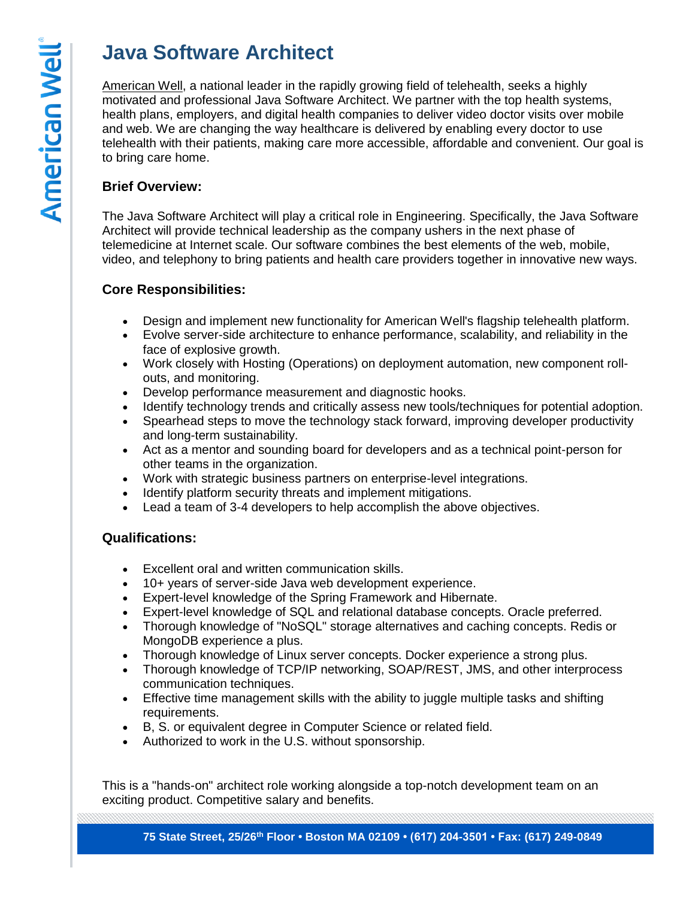# **Java Software Architect**

[American Well,](http://www.americanwell.com/) a national leader in the rapidly growing field of telehealth, seeks a highly motivated and professional Java Software Architect. We partner with the top health systems, health plans, employers, and digital health companies to deliver video doctor visits over mobile and web. We are changing the way healthcare is delivered by enabling every doctor to use telehealth with their patients, making care more accessible, affordable and convenient. Our goal is to bring care home.

# **Brief Overview:**

The Java Software Architect will play a critical role in Engineering. Specifically, the Java Software Architect will provide technical leadership as the company ushers in the next phase of telemedicine at Internet scale. Our software combines the best elements of the web, mobile, video, and telephony to bring patients and health care providers together in innovative new ways.

## **Core Responsibilities:**

- Design and implement new functionality for American Well's flagship telehealth platform.
- Evolve server-side architecture to enhance performance, scalability, and reliability in the face of explosive growth.
- Work closely with Hosting (Operations) on deployment automation, new component rollouts, and monitoring.
- Develop performance measurement and diagnostic hooks.
- Identify technology trends and critically assess new tools/techniques for potential adoption.
- Spearhead steps to move the technology stack forward, improving developer productivity and long-term sustainability.
- Act as a mentor and sounding board for developers and as a technical point-person for other teams in the organization.
- Work with strategic business partners on enterprise-level integrations.
- Identify platform security threats and implement mitigations.
- Lead a team of 3-4 developers to help accomplish the above objectives.

## **Qualifications:**

- Excellent oral and written communication skills.
- 10+ years of server-side Java web development experience.
- Expert-level knowledge of the Spring Framework and Hibernate.
- Expert-level knowledge of SQL and relational database concepts. Oracle preferred.
- Thorough knowledge of "NoSQL" storage alternatives and caching concepts. Redis or MongoDB experience a plus.
- Thorough knowledge of Linux server concepts. Docker experience a strong plus.
- Thorough knowledge of TCP/IP networking, SOAP/REST, JMS, and other interprocess communication techniques.
- Effective time management skills with the ability to juggle multiple tasks and shifting requirements.
- B, S. or equivalent degree in Computer Science or related field.
- Authorized to work in the U.S. without sponsorship.

This is a "hands-on" architect role working alongside a top-notch development team on an exciting product. Competitive salary and benefits.

**75 State Street, 25/26th Floor • Boston MA 02109 • (617) 204-3501 • Fax: (617) 249-0849**